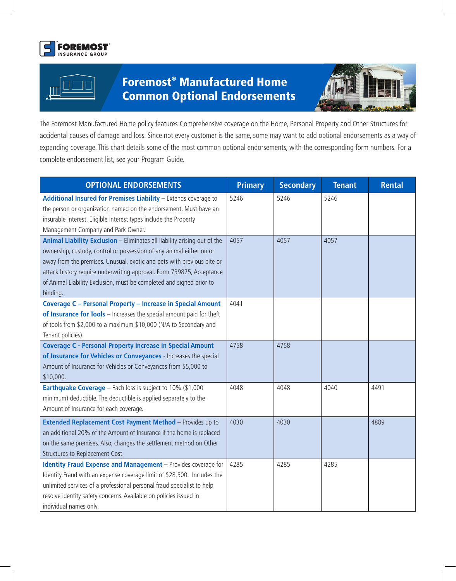



## Foremost® Manufactured Home Common Optional Endorsements



The Foremost Manufactured Home policy features Comprehensive coverage on the Home, Personal Property and Other Structures for accidental causes of damage and loss. Since not every customer is the same, some may want to add optional endorsements as a way of expanding coverage. This chart details some of the most common optional endorsements, with the corresponding form numbers. For a complete endorsement list, see your Program Guide.

| <b>OPTIONAL ENDORSEMENTS</b>                                                                                                                                                                                                                                                                                                                                                            | <b>Primary</b> | <b>Secondary</b> | <b>Tenant</b> | <b>Rental</b> |
|-----------------------------------------------------------------------------------------------------------------------------------------------------------------------------------------------------------------------------------------------------------------------------------------------------------------------------------------------------------------------------------------|----------------|------------------|---------------|---------------|
| Additional Insured for Premises Liability - Extends coverage to<br>the person or organization named on the endorsement. Must have an<br>insurable interest. Eligible interest types include the Property<br>Management Company and Park Owner.                                                                                                                                          | 5246           | 5246             | 5246          |               |
| Animal Liability Exclusion - Eliminates all liability arising out of the<br>ownership, custody, control or possession of any animal either on or<br>away from the premises. Unusual, exotic and pets with previous bite or<br>attack history require underwriting approval. Form 739875, Acceptance<br>of Animal Liability Exclusion, must be completed and signed prior to<br>binding. | 4057           | 4057             | 4057          |               |
| <b>Coverage C - Personal Property - Increase in Special Amount</b><br>of Insurance for Tools - Increases the special amount paid for theft<br>of tools from \$2,000 to a maximum \$10,000 (N/A to Secondary and<br>Tenant policies).                                                                                                                                                    | 4041           |                  |               |               |
| <b>Coverage C - Personal Property increase in Special Amount</b><br>of Insurance for Vehicles or Conveyances - Increases the special<br>Amount of Insurance for Vehicles or Conveyances from \$5,000 to<br>\$10,000.                                                                                                                                                                    | 4758           | 4758             |               |               |
| Earthquake Coverage - Each loss is subject to 10% (\$1,000<br>minimum) deductible. The deductible is applied separately to the<br>Amount of Insurance for each coverage.                                                                                                                                                                                                                | 4048           | 4048             | 4040          | 4491          |
| Extended Replacement Cost Payment Method - Provides up to<br>an additional 20% of the Amount of Insurance if the home is replaced<br>on the same premises. Also, changes the settlement method on Other<br>Structures to Replacement Cost.                                                                                                                                              | 4030           | 4030             |               | 4889          |
| <b>Identity Fraud Expense and Management</b> - Provides coverage for<br>Identity Fraud with an expense coverage limit of \$28,500. Includes the<br>unlimited services of a professional personal fraud specialist to help<br>resolve identity safety concerns. Available on policies issued in<br>individual names only.                                                                | 4285           | 4285             | 4285          |               |